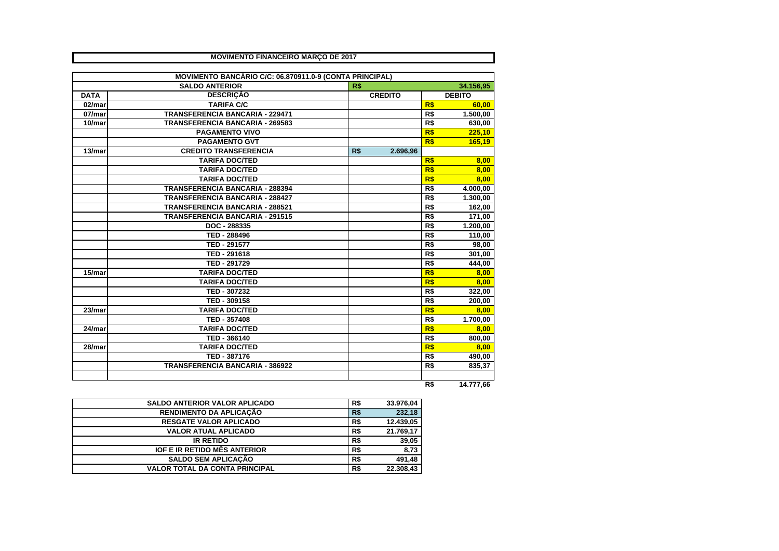|             | <b>MOVIMENTO FINANCEIRO MARÇO DE 2017</b>               |     |                |                |               |
|-------------|---------------------------------------------------------|-----|----------------|----------------|---------------|
|             |                                                         |     |                |                |               |
|             | MOVIMENTO BANCÁRIO C/C: 06.870911.0-9 (CONTA PRINCIPAL) |     |                |                |               |
|             | <b>SALDO ANTERIOR</b>                                   | R\$ |                |                | 34.156,95     |
| <b>DATA</b> | <b>DESCRIÇÃO</b>                                        |     | <b>CREDITO</b> |                | <b>DEBITO</b> |
| 02/mar      | <b>TARIFA C/C</b>                                       |     |                | R\$            | 60,00         |
| 07/mar      | <b>TRANSFERENCIA BANCARIA - 229471</b>                  |     |                | R\$            | 1.500,00      |
| 10/mar      | <b>TRANSFERENCIA BANCARIA - 269583</b>                  |     |                | R <sub>s</sub> | 630,00        |
|             | <b>PAGAMENTO VIVO</b>                                   |     |                | R\$            | 225,10        |
|             | <b>PAGAMENTO GVT</b>                                    |     |                | R\$            | 165,19        |
| 13/mar      | <b>CREDITO TRANSFERENCIA</b>                            | R\$ | 2.696,96       |                |               |
|             | <b>TARIFA DOC/TED</b>                                   |     |                | R\$            | 8,00          |
|             | <b>TARIFA DOC/TED</b>                                   |     |                | R\$            | 8.00          |
|             | <b>TARIFA DOC/TED</b>                                   |     |                | R\$            | 8.00          |
|             | <b>TRANSFERENCIA BANCARIA - 288394</b>                  |     |                | R\$            | 4.000,00      |
|             | <b>TRANSFERENCIA BANCARIA - 288427</b>                  |     |                | R\$            | 1.300,00      |
|             | <b>TRANSFERENCIA BANCARIA - 288521</b>                  |     |                | R\$            | 162,00        |
|             | <b>TRANSFERENCIA BANCARIA - 291515</b>                  |     |                | R\$            | 171,00        |
|             | DOC - 288335                                            |     |                | R <sub>5</sub> | 1.200,00      |
|             | TED - 288496                                            |     |                | R\$            | 110,00        |
|             | TED - 291577                                            |     |                | R\$            | 98,00         |
|             | TED - 291618                                            |     |                | R\$            | 301,00        |
|             | TED - 291729                                            |     |                | R\$            | 444,00        |
| $15/m$ ar   | <b>TARIFA DOC/TED</b>                                   |     |                | R\$            | 8,00          |
|             | <b>TARIFA DOC/TED</b>                                   |     |                | R\$            | 8,00          |
|             | TED - 307232                                            |     |                | R\$            | 322,00        |
|             | TED - 309158                                            |     |                | R\$            | 200,00        |
| 23/mar      | <b>TARIFA DOC/TED</b>                                   |     |                | R\$            | 8.00          |
|             | TED - 357408                                            |     |                | R\$            | 1.700,00      |
| 24/mar      | <b>TARIFA DOC/TED</b>                                   |     |                | R\$            | 8.00          |
|             | TED - 366140                                            |     |                | R\$            | 800,00        |
| 28/mar      | <b>TARIFA DOC/TED</b>                                   |     |                | R\$            | 8.00          |
|             |                                                         |     |                |                |               |
|             | TED - 387176                                            |     |                | R\$            | 490,00        |
|             | <b>TRANSFERENCIA BANCARIA - 386922</b>                  |     |                | R <sub>5</sub> | 835,37        |
|             |                                                         |     |                | R\$            | 14.777,66     |

|  | 14.777,66 |
|--|-----------|
|--|-----------|

| <b>SALDO ANTERIOR VALOR APLICADO</b>  | R\$        | 33.976,04 |
|---------------------------------------|------------|-----------|
| <b>RENDIMENTO DA APLICAÇÃO</b>        | <b>R\$</b> | 232.18    |
| <b>RESGATE VALOR APLICADO</b>         | R\$        | 12.439,05 |
| <b>VALOR ATUAL APLICADO</b>           | R\$        | 21.769,17 |
| <b>IR RETIDO</b>                      | R\$        | 39,05     |
| <b>IOF E IR RETIDO MÊS ANTERIOR</b>   | R\$        | 8,73      |
| <b>SALDO SEM APLICACÃO</b>            | R\$        | 491.48    |
| <b>VALOR TOTAL DA CONTA PRINCIPAL</b> | R\$        | 22.308.43 |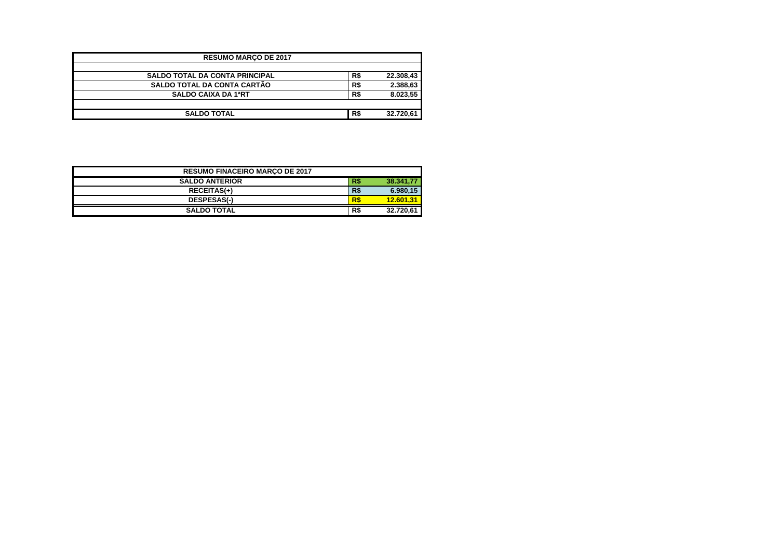| <b>RESUMO MARCO DE 2017</b>           |     |           |
|---------------------------------------|-----|-----------|
| <b>SALDO TOTAL DA CONTA PRINCIPAL</b> | R\$ | 22.308,43 |
| <b>SALDO TOTAL DA CONTA CARTÃO</b>    | R\$ | 2.388,63  |
| <b>SALDO CAIXA DA 1ªRT</b>            | R\$ | 8.023,55  |
|                                       |     |           |
| <b>SALDO TOTAL</b>                    | R\$ | 32.720,61 |

| <b>RESUMO FINACEIRO MARCO DE 2017</b> |     |           |
|---------------------------------------|-----|-----------|
| <b>SALDO ANTERIOR</b>                 | R\$ | 38.341.77 |
| <b>RECEITAS(+)</b>                    | R\$ | 6.980,15  |
| <b>DESPESAS(-)</b>                    | R\$ | 12.601.31 |
| <b>SALDO TOTAL</b>                    | R\$ | 32.720,61 |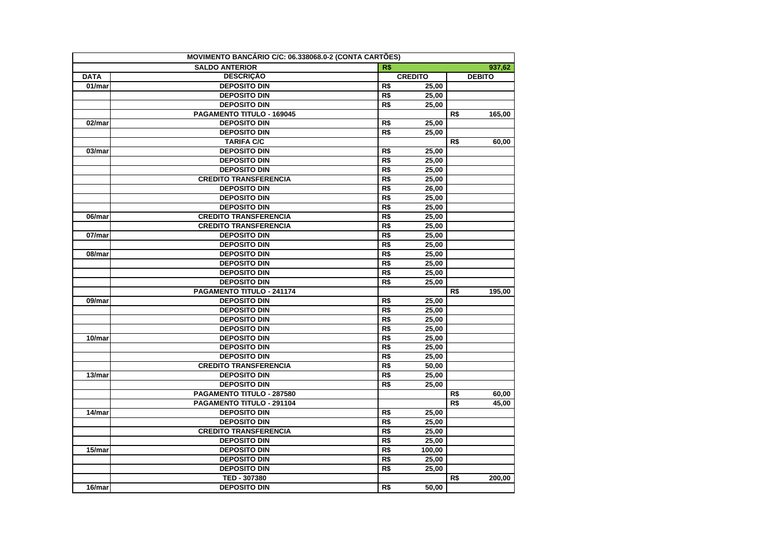|                      | MOVIMENTO BANCÁRIO C/C: 06.338068.0-2 (CONTA CARTÕES) |                  |                |     |               |
|----------------------|-------------------------------------------------------|------------------|----------------|-----|---------------|
|                      | <b>SALDO ANTERIOR</b>                                 | R\$              |                |     | 937,62        |
| <b>DATA</b>          | <b>DESCRICÃO</b>                                      |                  | <b>CREDITO</b> |     | <b>DEBITO</b> |
| 01/mar               | <b>DEPOSITO DIN</b>                                   | R\$              | 25,00          |     |               |
|                      | <b>DEPOSITO DIN</b>                                   | R\$              | 25,00          |     |               |
|                      | <b>DEPOSITO DIN</b>                                   | R\$              | 25,00          |     |               |
|                      | PAGAMENTO TITULO - 169045                             |                  |                | R\$ | 165,00        |
| 02/mar               | <b>DEPOSITO DIN</b>                                   | R\$              | 25,00          |     |               |
|                      | <b>DEPOSITO DIN</b>                                   | $\overline{RS}$  | 25.00          |     |               |
|                      | <b>TARIFA C/C</b>                                     |                  |                | R\$ | 60,00         |
| 03/mar               | <b>DEPOSITO DIN</b>                                   | R\$              | 25,00          |     |               |
|                      | <b>DEPOSITO DIN</b>                                   | $\overline{R\$   | 25,00          |     |               |
|                      | <b>DEPOSITO DIN</b>                                   | R\$              | 25,00          |     |               |
|                      | <b>CREDITO TRANSFERENCIA</b>                          | R\$              | 25,00          |     |               |
|                      | <b>DEPOSITO DIN</b>                                   | R\$              | 26.00          |     |               |
|                      | <b>DEPOSITO DIN</b>                                   | $\overline{RS}$  | 25,00          |     |               |
|                      | <b>DEPOSITO DIN</b>                                   | R\$              | 25,00          |     |               |
| 06/mar               | <b>CREDITO TRANSFERENCIA</b>                          | $\overline{RS}$  | 25,00          |     |               |
|                      | <b>CREDITO TRANSFERENCIA</b>                          | $\overline{RS}$  | 25,00          |     |               |
| 07/mar               | <b>DEPOSITO DIN</b>                                   | R\$              | 25,00          |     |               |
|                      | <b>DEPOSITO DIN</b>                                   | $\overline{RS}$  | 25,00          |     |               |
| 08/mar               | <b>DEPOSITO DIN</b>                                   | R\$              | 25,00          |     |               |
|                      | <b>DEPOSITO DIN</b>                                   | R\$              | 25,00          |     |               |
|                      | <b>DEPOSITO DIN</b>                                   | R\$              | 25,00          |     |               |
|                      | <b>DEPOSITO DIN</b>                                   | R\$              | 25,00          |     |               |
|                      | PAGAMENTO TITULO - 241174                             |                  |                | R\$ | 195,00        |
| $\overline{0}9$ /mar | <b>DEPOSITO DIN</b>                                   | R\$              | 25,00          |     |               |
|                      | <b>DEPOSITO DIN</b>                                   | $\overline{RS}$  | 25,00          |     |               |
|                      | <b>DEPOSITO DIN</b>                                   | R\$              | 25,00          |     |               |
|                      | <b>DEPOSITO DIN</b>                                   | R\$              | 25,00          |     |               |
| 10/mar               | <b>DEPOSITO DIN</b>                                   | R\$              | 25,00          |     |               |
|                      | <b>DEPOSITO DIN</b>                                   | $\overline{R\$   | 25.00          |     |               |
|                      | <b>DEPOSITO DIN</b>                                   | R\$              | 25,00          |     |               |
|                      | <b>CREDITO TRANSFERENCIA</b>                          | $\overline{RS}$  | 50,00          |     |               |
| 13/mar               | <b>DEPOSITO DIN</b>                                   | $\overline{RS}$  | 25,00          |     |               |
|                      | <b>DEPOSITO DIN</b>                                   | $\overline{RS}$  | 25.00          |     |               |
|                      | PAGAMENTO TITULO - 287580                             |                  |                | R\$ | 60,00         |
|                      | PAGAMENTO TITULO - 291104                             |                  |                | R\$ | 45,00         |
| 14/mar               | <b>DEPOSITO DIN</b>                                   | R\$              | 25,00          |     |               |
|                      | <b>DEPOSITO DIN</b>                                   | R\$              | 25,00          |     |               |
|                      | <b>CREDITO TRANSFERENCIA</b>                          | $\overline{R\$}$ | 25.00          |     |               |
|                      | <b>DEPOSITO DIN</b>                                   | R\$              | 25,00          |     |               |
| 15/mar               | <b>DEPOSITO DIN</b>                                   | $\overline{RS}$  | 100,00         |     |               |
|                      | <b>DEPOSITO DIN</b>                                   | R\$              | 25,00          |     |               |
|                      | <b>DEPOSITO DIN</b>                                   | R\$              | 25,00          |     |               |
|                      | TED - 307380                                          |                  |                | R\$ | 200,00        |
| 16/mar               | <b>DEPOSITO DIN</b>                                   | R\$              | 50,00          |     |               |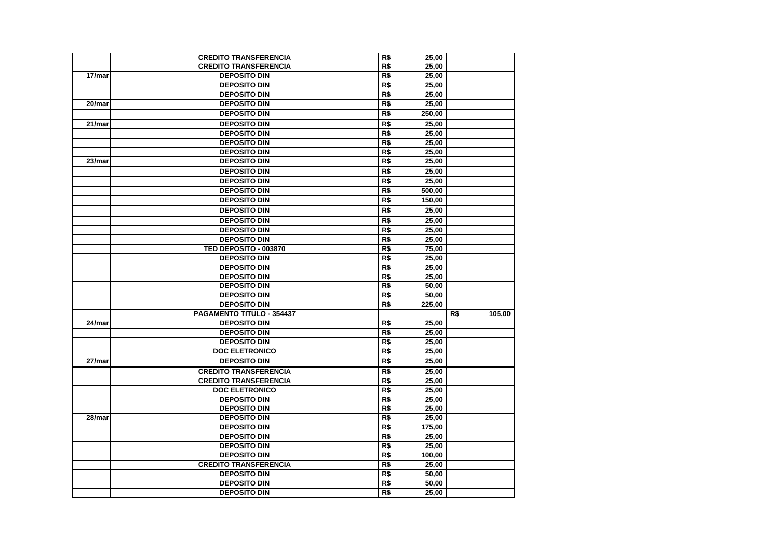|        | <b>CREDITO TRANSFERENCIA</b>                        | R\$                    | 25,00          |     |        |
|--------|-----------------------------------------------------|------------------------|----------------|-----|--------|
|        | <b>CREDITO TRANSFERENCIA</b>                        | R\$                    | 25,00          |     |        |
| 17/mar | <b>DEPOSITO DIN</b>                                 | R\$                    | 25,00          |     |        |
|        | <b>DEPOSITO DIN</b>                                 | R\$                    | 25.00          |     |        |
|        | <b>DEPOSITO DIN</b>                                 | R\$                    | 25,00          |     |        |
| 20/mar | <b>DEPOSITO DIN</b>                                 | R\$                    | 25,00          |     |        |
|        | <b>DEPOSITO DIN</b>                                 | R\$                    | 250,00         |     |        |
| 21/mar | <b>DEPOSITO DIN</b>                                 | $\overline{RS}$        | 25,00          |     |        |
|        | <b>DEPOSITO DIN</b>                                 | R\$                    | 25.00          |     |        |
|        | <b>DEPOSITO DIN</b>                                 | R\$                    | 25,00          |     |        |
|        | <b>DEPOSITO DIN</b>                                 | R\$                    | 25.00          |     |        |
| 23/mar | <b>DEPOSITO DIN</b>                                 | R\$                    | 25,00          |     |        |
|        | <b>DEPOSITO DIN</b>                                 | $\overline{RS}$        | 25,00          |     |        |
|        | <b>DEPOSITO DIN</b>                                 | R\$                    | 25.00          |     |        |
|        | <b>DEPOSITO DIN</b>                                 | R\$                    | 500.00         |     |        |
|        | <b>DEPOSITO DIN</b>                                 | R\$                    | 150,00         |     |        |
|        | <b>DEPOSITO DIN</b>                                 | R\$                    | 25,00          |     |        |
|        | <b>DEPOSITO DIN</b>                                 | R\$                    | 25,00          |     |        |
|        | <b>DEPOSITO DIN</b>                                 | R\$                    | 25,00          |     |        |
|        | <b>DEPOSITO DIN</b>                                 | R\$                    | 25.00          |     |        |
|        | TED DEPOSITO - 003870                               | R\$                    | 75,00          |     |        |
|        | <b>DEPOSITO DIN</b>                                 | R\$                    | 25,00          |     |        |
|        | <b>DEPOSITO DIN</b>                                 | R\$                    | 25,00          |     |        |
|        | <b>DEPOSITO DIN</b>                                 | $\overline{RS}$        | 25.00          |     |        |
|        | <b>DEPOSITO DIN</b>                                 | R\$                    | 50.00          |     |        |
|        | <b>DEPOSITO DIN</b>                                 | R\$                    | 50,00          |     |        |
|        | <b>DEPOSITO DIN</b>                                 | R\$                    | 225,00         |     |        |
|        | PAGAMENTO TITULO - 354437                           |                        |                | R\$ | 105,00 |
| 24/mar | <b>DEPOSITO DIN</b>                                 | R\$                    | 25.00          |     |        |
|        | <b>DEPOSITO DIN</b>                                 | R\$                    | 25,00          |     |        |
|        | <b>DEPOSITO DIN</b>                                 | R\$                    | 25,00          |     |        |
|        | <b>DOC ELETRONICO</b>                               | $\overline{RS}$        | 25,00          |     |        |
| 27/mar | <b>DEPOSITO DIN</b>                                 | R\$                    | 25.00          |     |        |
|        | <b>CREDITO TRANSFERENCIA</b>                        | $\overline{R\$}$       | 25,00          |     |        |
|        | <b>CREDITO TRANSFERENCIA</b>                        | R\$                    | 25,00          |     |        |
|        | <b>DOC ELETRONICO</b>                               | R\$                    | 25,00          |     |        |
|        | <b>DEPOSITO DIN</b>                                 | $\overline{RS}$        | 25,00          |     |        |
|        | <b>DEPOSITO DIN</b>                                 | R\$                    | 25,00          |     |        |
| 28/mar | <b>DEPOSITO DIN</b>                                 | R\$                    | 25.00          |     |        |
|        | <b>DEPOSITO DIN</b>                                 | R\$                    | 175,00         |     |        |
|        | <b>DEPOSITO DIN</b>                                 | R\$                    | 25,00          |     |        |
|        | <b>DEPOSITO DIN</b>                                 | R\$                    | 25.00          |     |        |
|        | <b>DEPOSITO DIN</b>                                 | R\$                    | 100,00         |     |        |
|        | <b>CREDITO TRANSFERENCIA</b><br><b>DEPOSITO DIN</b> | R\$<br>$\overline{RS}$ | 25,00          |     |        |
|        | <b>DEPOSITO DIN</b>                                 | $\overline{RS}$        | 50,00<br>50.00 |     |        |
|        | <b>DEPOSITO DIN</b>                                 | R\$                    | 25,00          |     |        |
|        |                                                     |                        |                |     |        |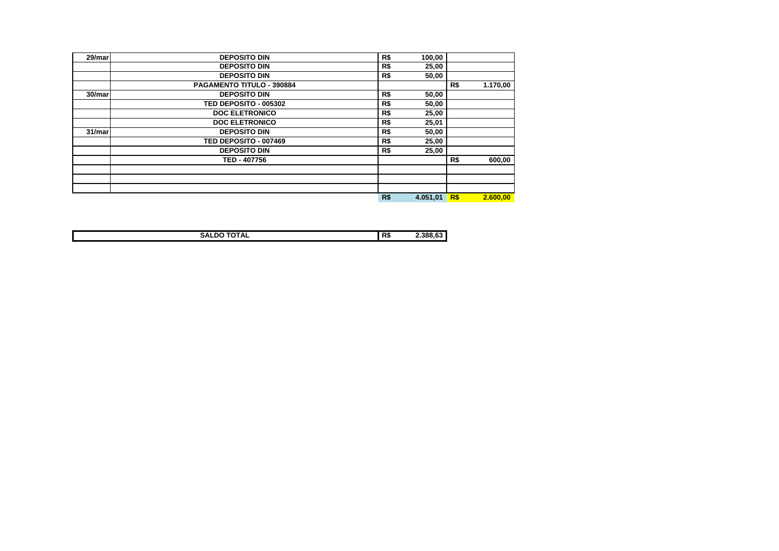| 29/mar | <b>DEPOSITO DIN</b>       | R\$        | 100,00   |     |          |
|--------|---------------------------|------------|----------|-----|----------|
|        | <b>DEPOSITO DIN</b>       | R\$        | 25,00    |     |          |
|        | <b>DEPOSITO DIN</b>       | R\$        | 50,00    |     |          |
|        | PAGAMENTO TITULO - 390884 |            |          | R\$ | 1.170,00 |
| 30/mar | <b>DEPOSITO DIN</b>       | R\$        | 50,00    |     |          |
|        | TED DEPOSITO - 005302     | R\$        | 50,00    |     |          |
|        | <b>DOC ELETRONICO</b>     | R\$        | 25,00    |     |          |
|        | <b>DOC ELETRONICO</b>     | R\$        | 25,01    |     |          |
| 31/mar | <b>DEPOSITO DIN</b>       | R\$        | 50,00    |     |          |
|        | TED DEPOSITO - 007469     | R\$        | 25,00    |     |          |
|        | <b>DEPOSITO DIN</b>       | R\$        | 25,00    |     |          |
|        | TED - 407756              |            |          | R\$ | 600,00   |
|        |                           |            |          |     |          |
|        |                           |            |          |     |          |
|        |                           |            |          |     |          |
|        |                           | <b>R\$</b> | 4.051,01 | R\$ | 2.600.00 |

| -------<br><b>IUIAL</b><br>OAL. | R\$ | 388 |
|---------------------------------|-----|-----|
|                                 |     |     |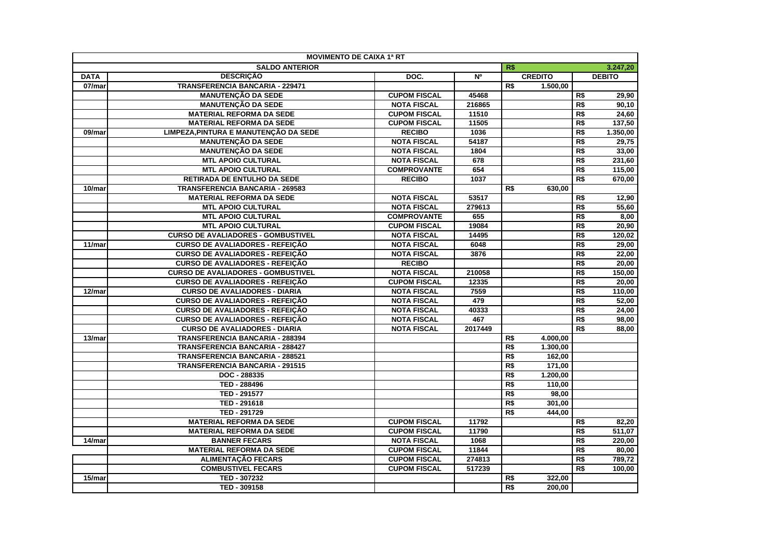|             | <b>MOVIMENTO DE CAIXA 1ª RT</b>           |                     |         |                 |                |                 |               |
|-------------|-------------------------------------------|---------------------|---------|-----------------|----------------|-----------------|---------------|
|             | <b>SALDO ANTERIOR</b>                     |                     |         | R\$             |                |                 | 3.247,20      |
| <b>DATA</b> | <b>DESCRIÇÃO</b>                          | DOC.                | N°      |                 | <b>CREDITO</b> |                 | <b>DEBITO</b> |
| 07/mar      | TRANSFERENCIA BANCARIA - 229471           |                     |         | R\$             | 1.500,00       |                 |               |
|             | <b>MANUTENÇÃO DA SEDE</b>                 | <b>CUPOM FISCAL</b> | 45468   |                 |                | R\$             | 29,90         |
|             | <b>MANUTENÇÃO DA SEDE</b>                 | <b>NOTA FISCAL</b>  | 216865  |                 |                | R\$             | 90,10         |
|             | <b>MATERIAL REFORMA DA SEDE</b>           | <b>CUPOM FISCAL</b> | 11510   |                 |                | R\$             | 24,60         |
|             | <b>MATERIAL REFORMA DA SEDE</b>           | <b>CUPOM FISCAL</b> | 11505   |                 |                | R\$             | 137,50        |
| 09/mar      | LIMPEZA, PINTURA E MANUTENÇÃO DA SEDE     | <b>RECIBO</b>       | 1036    |                 |                | R\$             | 1.350,00      |
|             | <b>MANUTENÇÃO DA SEDE</b>                 | <b>NOTA FISCAL</b>  | 54187   |                 |                | R\$             | 29,75         |
|             | <b>MANUTENÇÃO DA SEDE</b>                 | <b>NOTA FISCAL</b>  | 1804    |                 |                | R\$             | 33,00         |
|             | <b>MTL APOIO CULTURAL</b>                 | <b>NOTA FISCAL</b>  | 678     |                 |                | R\$             | 231,60        |
|             | <b>MTL APOIO CULTURAL</b>                 | <b>COMPROVANTE</b>  | 654     |                 |                | R\$             | 115,00        |
|             | RETIRADA DE ENTULHO DA SEDE               | <b>RECIBO</b>       | 1037    |                 |                | R\$             | 670,00        |
| 10/mar      | <b>TRANSFERENCIA BANCARIA - 269583</b>    |                     |         | R\$             | 630,00         |                 |               |
|             | <b>MATERIAL REFORMA DA SEDE</b>           | <b>NOTA FISCAL</b>  | 53517   |                 |                | R\$             | 12,90         |
|             | <b>MTL APOIO CULTURAL</b>                 | <b>NOTA FISCAL</b>  | 279613  |                 |                | R\$             | 55,60         |
|             | <b>MTL APOIO CULTURAL</b>                 | <b>COMPROVANTE</b>  | 655     |                 |                | R\$             | 8,00          |
|             | <b>MTL APOIO CULTURAL</b>                 | <b>CUPOM FISCAL</b> | 19084   |                 |                | R\$             | 20,90         |
|             | <b>CURSO DE AVALIADORES - GOMBUSTIVEL</b> | <b>NOTA FISCAL</b>  | 14495   |                 |                | R\$             | 120,02        |
| 11/mar      | <b>CURSO DE AVALIADORES - REFEIÇÃO</b>    | <b>NOTA FISCAL</b>  | 6048    |                 |                | $\overline{RS}$ | 29,00         |
|             | <b>CURSO DE AVALIADORES - REFEIÇÃO</b>    | <b>NOTA FISCAL</b>  | 3876    |                 |                | R\$             | 22,00         |
|             | <b>CURSO DE AVALIADORES - REFEIÇÃO</b>    | <b>RECIBO</b>       |         |                 |                | R\$             | 20,00         |
|             | <b>CURSO DE AVALIADORES - GOMBUSTIVEL</b> | <b>NOTA FISCAL</b>  | 210058  |                 |                | R\$             | 150,00        |
|             | <b>CURSO DE AVALIADORES - REFEIÇÃO</b>    | <b>CUPOM FISCAL</b> | 12335   |                 |                | R\$             | 20,00         |
| 12/mar      | <b>CURSO DE AVALIADORES - DIARIA</b>      | <b>NOTA FISCAL</b>  | 7559    |                 |                | R\$             | 110,00        |
|             | <b>CURSO DE AVALIADORES - REFEICÃO</b>    | <b>NOTA FISCAL</b>  | 479     |                 |                | R\$             | 52,00         |
|             | <b>CURSO DE AVALIADORES - REFEIÇÃO</b>    | <b>NOTA FISCAL</b>  | 40333   |                 |                | R\$             | 24,00         |
|             | <b>CURSO DE AVALIADORES - REFEIÇÃO</b>    | <b>NOTA FISCAL</b>  | 467     |                 |                | R\$             | 98,00         |
|             | <b>CURSO DE AVALIADORES - DIARIA</b>      | <b>NOTA FISCAL</b>  | 2017449 |                 |                | R\$             | 88,00         |
| 13/mar      | TRANSFERENCIA BANCARIA - 288394           |                     |         | R\$             | 4.000,00       |                 |               |
|             | TRANSFERENCIA BANCARIA - 288427           |                     |         | R\$             | 1.300,00       |                 |               |
|             | TRANSFERENCIA BANCARIA - 288521           |                     |         | R\$             | 162,00         |                 |               |
|             | <b>TRANSFERENCIA BANCARIA - 291515</b>    |                     |         | R\$             | 171,00         |                 |               |
|             | DOC - 288335                              |                     |         | R\$             | 1.200,00       |                 |               |
|             | TED - 288496                              |                     |         | R\$             | 110,00         |                 |               |
|             | TED - 291577                              |                     |         | R\$             | 98,00          |                 |               |
|             | TED - 291618                              |                     |         | R\$             | 301,00         |                 |               |
|             | TED - 291729                              |                     |         | $\overline{R$}$ | 444,00         |                 |               |
|             | <b>MATERIAL REFORMA DA SEDE</b>           | <b>CUPOM FISCAL</b> | 11792   |                 |                | R\$             | 82,20         |
|             | <b>MATERIAL REFORMA DA SEDE</b>           | <b>CUPOM FISCAL</b> | 11790   |                 |                | R\$             | 511,07        |
| 14/mar      | <b>BANNER FECARS</b>                      | <b>NOTA FISCAL</b>  | 1068    |                 |                | R\$             | 220,00        |
|             | <b>MATERIAL REFORMA DA SEDE</b>           | <b>CUPOM FISCAL</b> | 11844   |                 |                | R\$             | 80,00         |
|             | <b>ALIMENTAÇÃO FECARS</b>                 | <b>CUPOM FISCAL</b> | 274813  |                 |                | R\$             | 789,72        |
|             | <b>COMBUSTIVEL FECARS</b>                 | <b>CUPOM FISCAL</b> | 517239  |                 |                | R <sub>s</sub>  | 100,00        |
| 15/mar      | TED - 307232                              |                     |         | R\$             | 322.00         |                 |               |
|             | TED - 309158                              |                     |         | R\$             | 200,00         |                 |               |